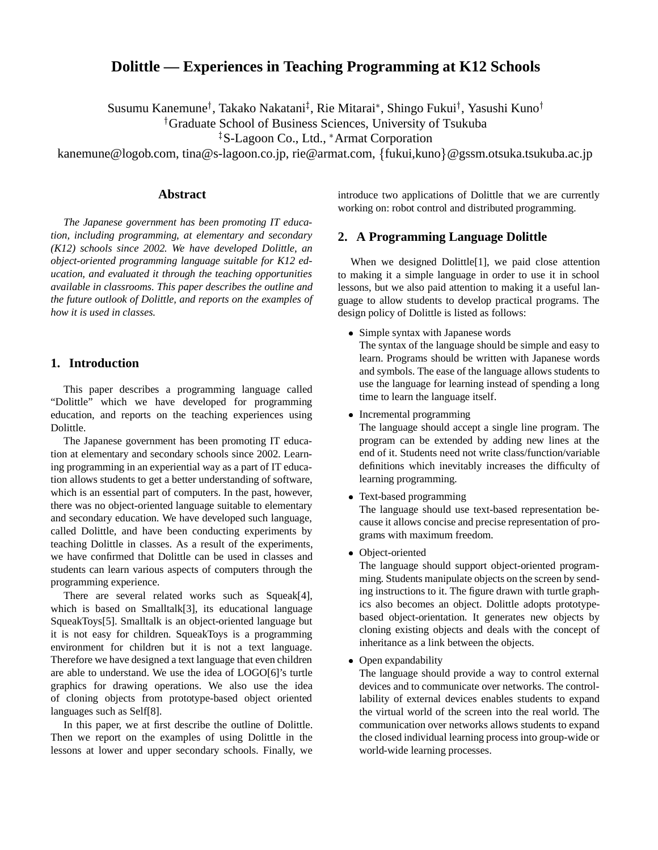# **Dolittle — Experiences in Teaching Programming at K12 Schools**

Susumu Kanemune†, Takako Nakatani‡, Rie Mitarai\*, Shingo Fukui†, Yasushi Kuno†

Graduate School of Business Sciences, University of Tsukuba

 $^{\ddagger}$ S-Lagoon Co., Ltd.,  $^{\ast}$ Armat Corporation

kanemune@logob.com, tina@s-lagoon.co.jp, rie@armat.com, {fukui,kuno}@gssm.otsuka.tsukuba.ac.jp

## **Abstract**

*The Japanese government has been promoting IT education, including programming, at elementary and secondary (K12) schools since 2002. We have developed Dolittle, an object-oriented programming language suitable for K12 education, and evaluated it through the teaching opportunities available in classrooms. This paper describes the outline and the future outlook of Dolittle, and reports on the examples of how it is used in classes.*

## **1. Introduction**

This paper describes a programming language called "Dolittle" which we have developed for programming education, and reports on the teaching experiences using Dolittle.

The Japanese government has been promoting IT education at elementary and secondary schools since 2002. Learning programming in an experiential way as a part of IT education allows students to get a better understanding of software, which is an essential part of computers. In the past, however, there was no object-oriented language suitable to elementary and secondary education. We have developed such language, called Dolittle, and have been conducting experiments by teaching Dolittle in classes. As a result of the experiments, we have confirmed that Dolittle can be used in classes and students can learn various aspects of computers through the programming experience.

There are several related works such as Squeak[4], which is based on Smalltalk<sup>[3]</sup>, its educational language SqueakToys[5]. Smalltalk is an object-oriented language but it is not easy for children. SqueakToys is a programming environment for children but it is not a text language. Therefore we have designed a text language that even children are able to understand. We use the idea of LOGO[6]'s turtle graphics for drawing operations. We also use the idea of cloning objects from prototype-based object oriented languages such as Self[8].

In this paper, we at first describe the outline of Dolittle. Then we report on the examples of using Dolittle in the lessons at lower and upper secondary schools. Finally, we

introduce two applications of Dolittle that we are currently working on: robot control and distributed programming.

# **2. A Programming Language Dolittle**

When we designed Dolittle[1], we paid close attention to making it a simple language in order to use it in school lessons, but we also paid attention to making it a useful language to allow students to develop practical programs. The design policy of Dolittle is listed as follows:

- Simple syntax with Japanese words The syntax of the language should be simple and easy to learn. Programs should be written with Japanese words and symbols. The ease of the language allows students to use the language for learning instead of spending a long time to learn the language itself.
- Incremental programming

The language should accept a single line program. The program can be extended by adding new lines at the end of it. Students need not write class/function/variable definitions which inevitably increases the difficulty of learning programming.

Text-based programming

The language should use text-based representation because it allows concise and precise representation of programs with maximum freedom.

Object-oriented

The language should support object-oriented programming. Students manipulate objects on the screen by sending instructions to it. The figure drawn with turtle graphics also becomes an object. Dolittle adopts prototypebased object-orientation. It generates new objects by cloning existing objects and deals with the concept of inheritance as a link between the objects.

• Open expandability

The language should provide a way to control external devices and to communicate over networks. The controllability of external devices enables students to expand the virtual world of the screen into the real world. The communication over networks allows students to expand the closed individual learning process into group-wide or world-wide learning processes.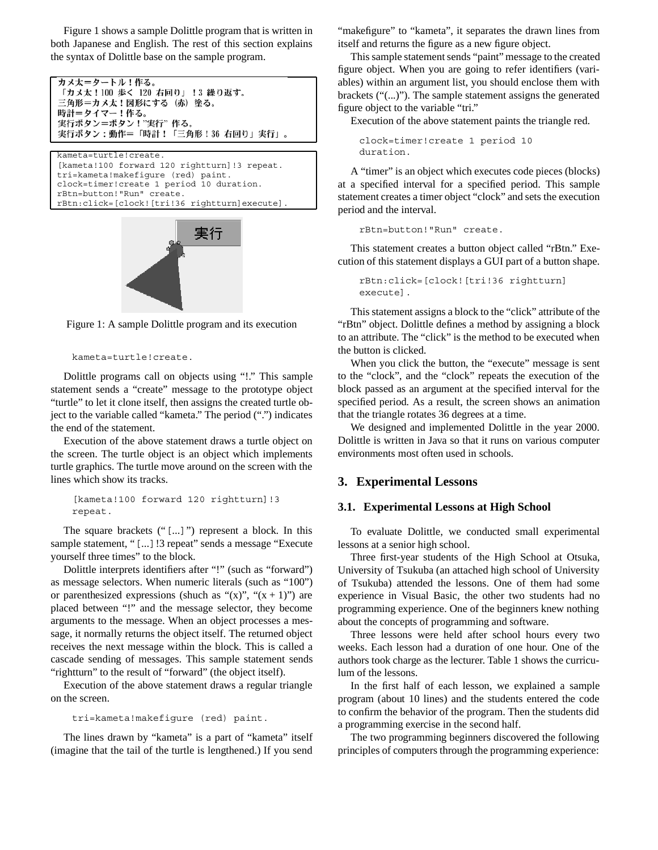Figure 1 shows a sample Dolittle program that is written in both Japanese and English. The rest of this section explains the syntax of Dolittle base on the sample program.

```
カメ太=タートル!作る。
「カメ太!100 歩く 120 右回り」!3 繰り返す。
三角形=カメ太!図形にする(赤)塗る。
時計=タイマー!作る。
実行ボタン=ボタン!"実行"作る。
実行ボタン:動作=「時計!「三角形!36 右回り」実行」。
```

```
kameta=turtle!create.
[kameta!100 forward 120 rightturn]!3 repeat.
tri=kameta!makefigure (red) paint.
clock=timer!create 1 period 10 duration.
rBtn=button!"Run" create.
rBtn:click=[clock![tri!36 rightturn]execute].
```


Figure 1: A sample Dolittle program and its execution

#### kameta=turtle!create.

Dolittle programs call on objects using "!." This sample statement sends a "create" message to the prototype object "turtle" to let it clone itself, then assigns the created turtle object to the variable called "kameta." The period (".") indicates the end of the statement.

Execution of the above statement draws a turtle object on the screen. The turtle object is an object which implements turtle graphics. The turtle move around on the screen with the lines which show its tracks.

```
[kameta!100 forward 120 rightturn]!3
repeat.
```
The square brackets ("[...]") represent a block. In this sample statement, "[...]!3 repeat" sends a message "Execute yourself three times" to the block.

Dolittle interprets identifiers after "!" (such as "forward") as message selectors. When numeric literals (such as "100") or parenthesized expressions (shuch as " $(x)$ ", " $(x + 1)$ ") are placed between "!" and the message selector, they become arguments to the message. When an object processes a message, it normally returns the object itself. The returned object receives the next message within the block. This is called a cascade sending of messages. This sample statement sends "rightturn" to the result of "forward" (the object itself).

Execution of the above statement draws a regular triangle on the screen.

tri=kameta!makefigure (red) paint.

The lines drawn by "kameta" is a part of "kameta" itself (imagine that the tail of the turtle is lengthened.) If you send

"makefigure" to "kameta", it separates the drawn lines from itself and returns the figure as a new figure object.

This sample statement sends "paint" message to the created figure object. When you are going to refer identifiers (variables) within an argument list, you should enclose them with brackets ("(...)"). The sample statement assigns the generated figure object to the variable "tri."

Execution of the above statement paints the triangle red.

```
clock=timer!create 1 period 10
duration.
```
A "timer" is an object which executes code pieces (blocks) at a specified interval for a specified period. This sample statement creates a timer object "clock" and sets the execution period and the interval.

```
rBtn=button!"Run" create.
```
This statement creates a button object called "rBtn." Execution of this statement displays a GUI part of a button shape.

```
rBtn:click=[clock![tri!36 rightturn]
execute].
```
This statement assigns a block to the "click" attribute of the "rBtn" object. Dolittle defines a method by assigning a block to an attribute. The "click" is the method to be executed when the button is clicked.

When you click the button, the "execute" message is sent to the "clock", and the "clock" repeats the execution of the block passed as an argument at the specified interval for the specified period. As a result, the screen shows an animation that the triangle rotates 36 degrees at a time.

We designed and implemented Dolittle in the year 2000. Dolittle is written in Java so that it runs on various computer environments most often used in schools.

#### **3. Experimental Lessons**

#### **3.1. Experimental Lessons at High School**

To evaluate Dolittle, we conducted small experimental lessons at a senior high school.

Three first-year students of the High School at Otsuka, University of Tsukuba (an attached high school of University of Tsukuba) attended the lessons. One of them had some experience in Visual Basic, the other two students had no programming experience. One of the beginners knew nothing about the concepts of programming and software.

Three lessons were held after school hours every two weeks. Each lesson had a duration of one hour. One of the authors took charge as the lecturer. Table 1 shows the curriculum of the lessons.

In the first half of each lesson, we explained a sample program (about 10 lines) and the students entered the code to confirm the behavior of the program. Then the students did a programming exercise in the second half.

The two programming beginners discovered the following principles of computers through the programming experience: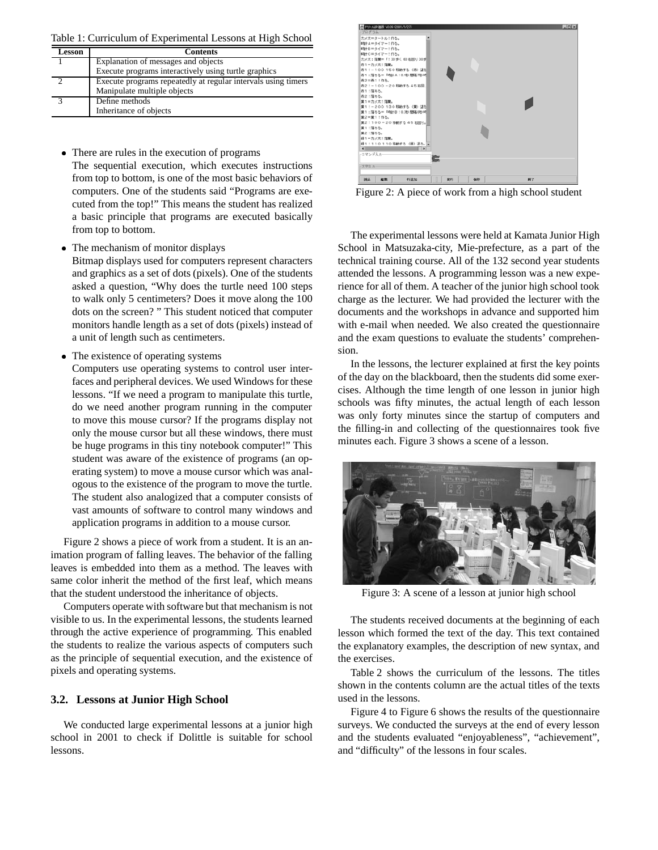Table 1: Curriculum of Experimental Lessons at High School

| <b>Lesson</b> | <b>Contents</b>                                               |
|---------------|---------------------------------------------------------------|
|               | Explanation of messages and objects                           |
|               | Execute programs interactively using turtle graphics          |
|               | Execute programs repeatedly at regular intervals using timers |
|               | Manipulate multiple objects                                   |
| 3             | Define methods                                                |
|               | Inheritance of objects                                        |

There are rules in the execution of programs

The sequential execution, which executes instructions from top to bottom, is one of the most basic behaviors of computers. One of the students said "Programs are executed from the top!" This means the student has realized a basic principle that programs are executed basically from top to bottom.

The mechanism of monitor displays

Bitmap displays used for computers represent characters and graphics as a set of dots (pixels). One of the students asked a question, "Why does the turtle need 100 steps to walk only 5 centimeters? Does it move along the 100 dots on the screen? " This student noticed that computer monitors handle length as a set of dots (pixels) instead of a unit of length such as centimeters.

The existence of operating systems

Computers use operating systems to control user interfaces and peripheral devices. We used Windows for these lessons. "If we need a program to manipulate this turtle, do we need another program running in the computer to move this mouse cursor? If the programs display not only the mouse cursor but all these windows, there must be huge programs in this tiny notebook computer!" This student was aware of the existence of programs (an operating system) to move a mouse cursor which was analogous to the existence of the program to move the turtle. The student also analogized that a computer consists of vast amounts of software to control many windows and application programs in addition to a mouse cursor.

Figure 2 shows a piece of work from a student. It is an animation program of falling leaves. The behavior of the falling leaves is embedded into them as a method. The leaves with same color inherit the method of the first leaf, which means that the student understood the inheritance of objects.

Computers operate with software but that mechanism is not visible to us. In the experimental lessons, the students learned through the active experience of programming. This enabled the students to realize the various aspects of computers such as the principle of sequential execution, and the existence of pixels and operating systems.

#### **3.2. Lessons at Junior High School**

We conducted large experimental lessons at a junior high school in 2001 to check if Dolittle is suitable for school lessons.



Figure 2: A piece of work from a high school student

The experimental lessons were held at Kamata Junior High School in Matsuzaka-city, Mie-prefecture, as a part of the technical training course. All of the 132 second year students attended the lessons. A programming lesson was a new experience for all of them. A teacher of the junior high school took charge as the lecturer. We had provided the lecturer with the documents and the workshops in advance and supported him with e-mail when needed. We also created the questionnaire and the exam questions to evaluate the students' comprehension.

In the lessons, the lecturer explained at first the key points of the day on the blackboard, then the students did some exercises. Although the time length of one lesson in junior high schools was fifty minutes, the actual length of each lesson was only forty minutes since the startup of computers and the filling-in and collecting of the questionnaires took five minutes each. Figure 3 shows a scene of a lesson.



Figure 3: A scene of a lesson at junior high school

The students received documents at the beginning of each lesson which formed the text of the day. This text contained the explanatory examples, the description of new syntax, and the exercises.

Table 2 shows the curriculum of the lessons. The titles shown in the contents column are the actual titles of the texts used in the lessons.

Figure 4 to Figure 6 shows the results of the questionnaire surveys. We conducted the surveys at the end of every lesson and the students evaluated "enjoyableness", "achievement", and "difficulty" of the lessons in four scales.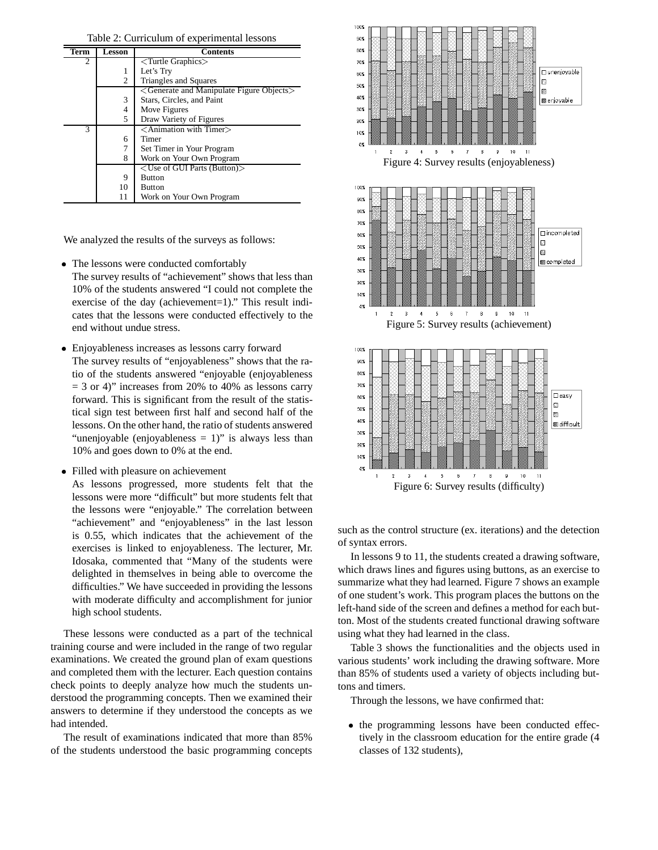Table 2: Curriculum of experimental lessons

| <b>Term</b> | <b>Lesson</b> | <b>Contents</b>                                                 |
|-------------|---------------|-----------------------------------------------------------------|
| 2           |               | $\langle$ Turtle Graphics $\rangle$                             |
|             | 1             | Let's Try                                                       |
|             | 2             | Triangles and Squares                                           |
|             |               | <generate and="" figure="" manipulate="" objects=""></generate> |
|             | 3             | Stars, Circles, and Paint                                       |
|             | 4             | Move Figures                                                    |
|             | 5             | Draw Variety of Figures                                         |
| 3           |               | <animation timer="" with=""></animation>                        |
|             | 6             | Timer                                                           |
|             | 7             | Set Timer in Your Program                                       |
|             | 8             | Work on Your Own Program                                        |
|             |               | $\langle$ Use of GUI Parts (Button) $\rangle$                   |
|             | 9             | <b>Button</b>                                                   |
|             | 10            | <b>Button</b>                                                   |
|             | 11            | Work on Your Own Program                                        |

We analyzed the results of the surveys as follows:

- The lessons were conducted comfortably
- The survey results of "achievement" shows that less than 10% of the students answered "I could not complete the exercise of the day (achievement=1)." This result indicates that the lessons were conducted effectively to the end without undue stress.
- Enjoyableness increases as lessons carry forward The survey results of "enjoyableness" shows that the ratio of the students answered "enjoyable (enjoyableness  $= 3$  or 4)" increases from 20% to 40% as lessons carry forward. This is significant from the result of the statistical sign test between first half and second half of the lessons. On the other hand, the ratio of students answered "unenjoyable (enjoyableness  $= 1$ )" is always less than 10% and goes down to 0% at the end.
- Filled with pleasure on achievement

As lessons progressed, more students felt that the lessons were more "difficult" but more students felt that the lessons were "enjoyable." The correlation between "achievement" and "enjoyableness" in the last lesson is 0.55, which indicates that the achievement of the exercises is linked to enjoyableness. The lecturer, Mr. Idosaka, commented that "Many of the students were delighted in themselves in being able to overcome the difficulties." We have succeeded in providing the lessons with moderate difficulty and accomplishment for junior high school students.

These lessons were conducted as a part of the technical training course and were included in the range of two regular examinations. We created the ground plan of exam questions and completed them with the lecturer. Each question contains check points to deeply analyze how much the students understood the programming concepts. Then we examined their answers to determine if they understood the concepts as we had intended.

The result of examinations indicated that more than 85% of the students understood the basic programming concepts



such as the control structure (ex. iterations) and the detection of syntax errors.

In lessons 9 to 11, the students created a drawing software, which draws lines and figures using buttons, as an exercise to summarize what they had learned. Figure 7 shows an example of one student's work. This program places the buttons on the left-hand side of the screen and defines a method for each button. Most of the students created functional drawing software using what they had learned in the class.

Table 3 shows the functionalities and the objects used in various students' work including the drawing software. More than 85% of students used a variety of objects including buttons and timers.

Through the lessons, we have confirmed that:

• the programming lessons have been conducted effectively in the classroom education for the entire grade (4 classes of 132 students),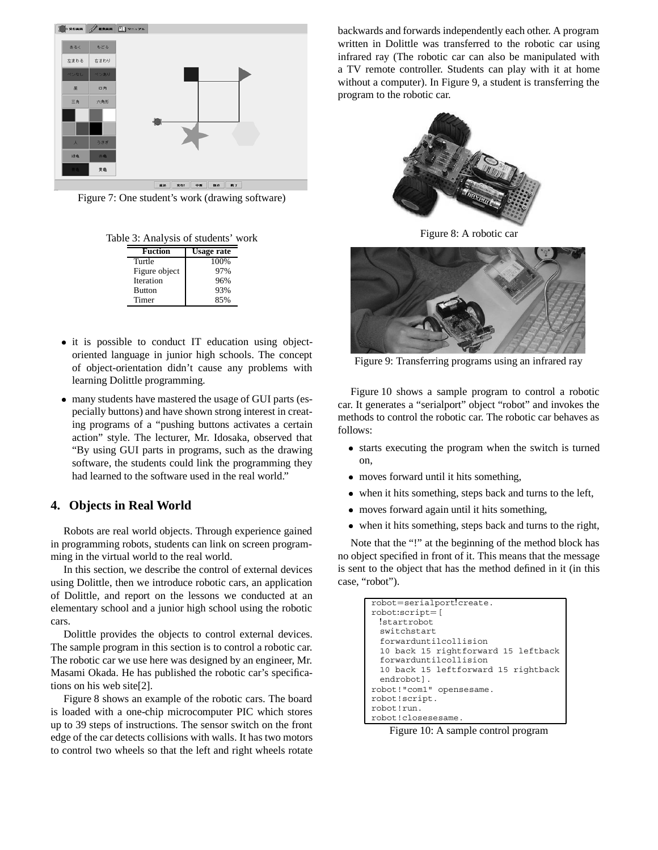

Figure 7: One student's work (drawing software)

| Table 3: Analysis of students' work |  |
|-------------------------------------|--|
|-------------------------------------|--|

| <b>Fuction</b> | Usage rate |
|----------------|------------|
| Turtle         | 100%       |
| Figure object  | 97%        |
| Iteration      | 96%        |
| <b>Button</b>  | 93%        |
| Timer          | 85%        |

- it is possible to conduct IT education using objectoriented language in junior high schools. The concept of object-orientation didn't cause any problems with learning Dolittle programming.
- many students have mastered the usage of GUI parts (especially buttons) and have shown strong interest in creating programs of a "pushing buttons activates a certain action" style. The lecturer, Mr. Idosaka, observed that "By using GUI parts in programs, such as the drawing software, the students could link the programming they had learned to the software used in the real world."

## **4. Objects in Real World**

Robots are real world objects. Through experience gained in programming robots, students can link on screen programming in the virtual world to the real world.

In this section, we describe the control of external devices using Dolittle, then we introduce robotic cars, an application of Dolittle, and report on the lessons we conducted at an elementary school and a junior high school using the robotic cars.

Dolittle provides the objects to control external devices. The sample program in this section is to control a robotic car. The robotic car we use here was designed by an engineer, Mr. Masami Okada. He has published the robotic car's specifications on his web site[2].

Figure 8 shows an example of the robotic cars. The board is loaded with a one-chip microcomputer PIC which stores up to 39 steps of instructions. The sensor switch on the front edge of the car detects collisions with walls. It has two motors to control two wheels so that the left and right wheels rotate backwards and forwards independently each other. A program written in Dolittle was transferred to the robotic car using infrared ray (The robotic car can also be manipulated with a TV remote controller. Students can play with it at home without a computer). In Figure 9, a student is transferring the program to the robotic car.



Figure 8: A robotic car



Figure 9: Transferring programs using an infrared ray

Figure 10 shows a sample program to control a robotic car. It generates a "serialport" object "robot" and invokes the methods to control the robotic car. The robotic car behaves as follows:

- starts executing the program when the switch is turned on,
- moves forward until it hits something,
- when it hits something, steps back and turns to the left,
- moves forward again until it hits something,
- when it hits something, steps back and turns to the right,

Note that the "!" at the beginning of the method block has no object specified in front of it. This means that the message is sent to the object that has the method defined in it (in this case, "robot").

| robot=serialport!create.            |
|-------------------------------------|
| $robot:script=$ [                   |
| startrobot                          |
| switchstart                         |
| forwarduntilcollision               |
| 10 back 15 rightforward 15 leftback |
| forwarduntilcollision               |
| 10 back 15 leftforward 15 rightback |
| endrobot].                          |
| robot!"com1" opensesame.            |
| robot!script.                       |
| robot!run.                          |
| robot!closesesame.                  |
|                                     |

Figure 10: A sample control program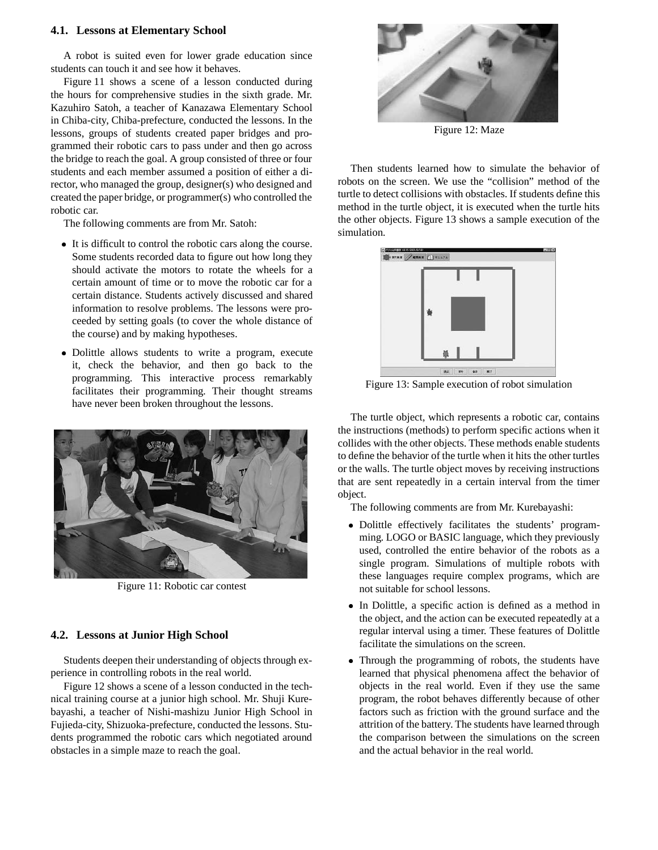#### **4.1. Lessons at Elementary School**

A robot is suited even for lower grade education since students can touch it and see how it behaves.

Figure 11 shows a scene of a lesson conducted during the hours for comprehensive studies in the sixth grade. Mr. Kazuhiro Satoh, a teacher of Kanazawa Elementary School in Chiba-city, Chiba-prefecture, conducted the lessons. In the lessons, groups of students created paper bridges and programmed their robotic cars to pass under and then go across the bridge to reach the goal. A group consisted of three or four students and each member assumed a position of either a director, who managed the group, designer(s) who designed and created the paper bridge, or programmer(s) who controlled the robotic car.

The following comments are from Mr. Satoh:

- It is difficult to control the robotic cars along the course. Some students recorded data to figure out how long they should activate the motors to rotate the wheels for a certain amount of time or to move the robotic car for a certain distance. Students actively discussed and shared information to resolve problems. The lessons were proceeded by setting goals (to cover the whole distance of the course) and by making hypotheses.
- Dolittle allows students to write a program, execute it, check the behavior, and then go back to the programming. This interactive process remarkably facilitates their programming. Their thought streams have never been broken throughout the lessons.



Figure 11: Robotic car contest

#### **4.2. Lessons at Junior High School**

Students deepen their understanding of objects through experience in controlling robots in the real world.

Figure 12 shows a scene of a lesson conducted in the technical training course at a junior high school. Mr. Shuji Kurebayashi, a teacher of Nishi-mashizu Junior High School in Fujieda-city, Shizuoka-prefecture, conducted the lessons. Students programmed the robotic cars which negotiated around obstacles in a simple maze to reach the goal.



Figure 12: Maze

Then students learned how to simulate the behavior of robots on the screen. We use the "collision" method of the turtle to detect collisions with obstacles. If students define this method in the turtle object, it is executed when the turtle hits the other objects. Figure 13 shows a sample execution of the simulation.



Figure 13: Sample execution of robot simulation

The turtle object, which represents a robotic car, contains the instructions (methods) to perform specific actions when it collides with the other objects. These methods enable students to define the behavior of the turtle when it hits the other turtles or the walls. The turtle object moves by receiving instructions that are sent repeatedly in a certain interval from the timer object.

The following comments are from Mr. Kurebayashi:

- Dolittle effectively facilitates the students' programming. LOGO or BASIC language, which they previously used, controlled the entire behavior of the robots as a single program. Simulations of multiple robots with these languages require complex programs, which are not suitable for school lessons.
- In Dolittle, a specific action is defined as a method in the object, and the action can be executed repeatedly at a regular interval using a timer. These features of Dolittle facilitate the simulations on the screen.
- Through the programming of robots, the students have learned that physical phenomena affect the behavior of objects in the real world. Even if they use the same program, the robot behaves differently because of other factors such as friction with the ground surface and the attrition of the battery. The students have learned through the comparison between the simulations on the screen and the actual behavior in the real world.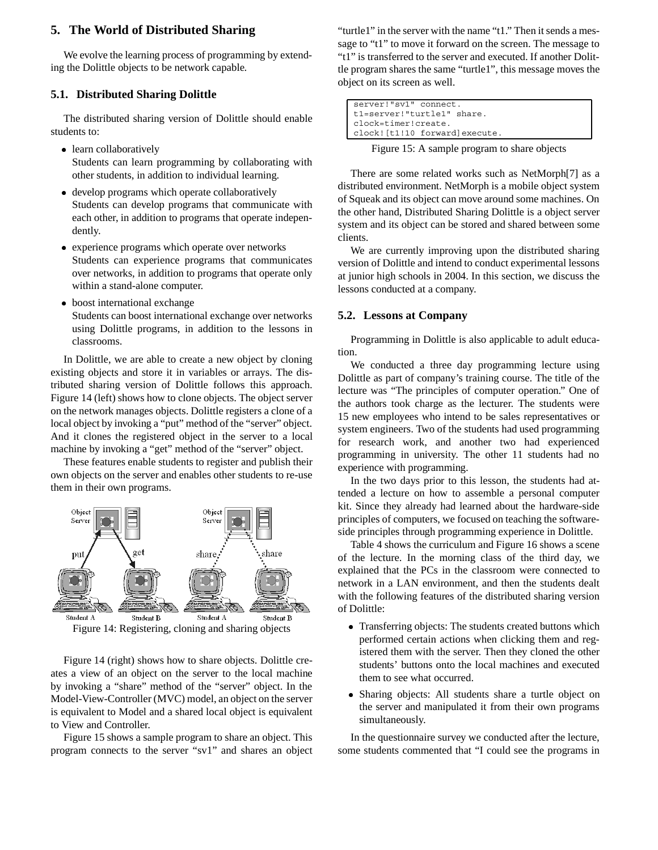# **5. The World of Distributed Sharing**

We evolve the learning process of programming by extending the Dolittle objects to be network capable.

## **5.1. Distributed Sharing Dolittle**

The distributed sharing version of Dolittle should enable students to:

- learn collaboratively Students can learn programming by collaborating with other students, in addition to individual learning.
- develop programs which operate collaboratively Students can develop programs that communicate with each other, in addition to programs that operate independently.
- experience programs which operate over networks Students can experience programs that communicates over networks, in addition to programs that operate only within a stand-alone computer.
- boost international exchange

Students can boost international exchange over networks using Dolittle programs, in addition to the lessons in classrooms.

In Dolittle, we are able to create a new object by cloning existing objects and store it in variables or arrays. The distributed sharing version of Dolittle follows this approach. Figure 14 (left) shows how to clone objects. The object server on the network manages objects. Dolittle registers a clone of a local object by invoking a "put" method of the "server" object. And it clones the registered object in the server to a local machine by invoking a "get" method of the "server" object.

These features enable students to register and publish their own objects on the server and enables other students to re-use them in their own programs.





Figure 14 (right) shows how to share objects. Dolittle creates a view of an object on the server to the local machine by invoking a "share" method of the "server" object. In the Model-View-Controller (MVC) model, an object on the server is equivalent to Model and a shared local object is equivalent to View and Controller.

Figure 15 shows a sample program to share an object. This program connects to the server "sv1" and shares an object "turtle1" in the server with the name "t1." Then it sends a message to "t1" to move it forward on the screen. The message to "t1" is transferred to the server and executed. If another Dolittle program shares the same "turtle1", this message moves the object on its screen as well.

| server!"sv1" connect.           |
|---------------------------------|
| tl=server!"turtle1" share.      |
| clock=timer!create.             |
| clock! [t1!10 forward] execute. |
|                                 |

Figure 15: A sample program to share objects

There are some related works such as NetMorph[7] as a distributed environment. NetMorph is a mobile object system of Squeak and its object can move around some machines. On the other hand, Distributed Sharing Dolittle is a object server system and its object can be stored and shared between some clients.

We are currently improving upon the distributed sharing version of Dolittle and intend to conduct experimental lessons at junior high schools in 2004. In this section, we discuss the lessons conducted at a company.

#### **5.2. Lessons at Company**

Programming in Dolittle is also applicable to adult education.

We conducted a three day programming lecture using Dolittle as part of company's training course. The title of the lecture was "The principles of computer operation." One of the authors took charge as the lecturer. The students were 15 new employees who intend to be sales representatives or system engineers. Two of the students had used programming for research work, and another two had experienced programming in university. The other 11 students had no experience with programming.

In the two days prior to this lesson, the students had attended a lecture on how to assemble a personal computer kit. Since they already had learned about the hardware-side principles of computers, we focused on teaching the softwareside principles through programming experience in Dolittle.

Table 4 shows the curriculum and Figure 16 shows a scene of the lecture. In the morning class of the third day, we explained that the PCs in the classroom were connected to network in a LAN environment, and then the students dealt with the following features of the distributed sharing version of Dolittle:

- Transferring objects: The students created buttons which performed certain actions when clicking them and registered them with the server. Then they cloned the other students' buttons onto the local machines and executed them to see what occurred.
- Sharing objects: All students share a turtle object on the server and manipulated it from their own programs simultaneously.

In the questionnaire survey we conducted after the lecture, some students commented that "I could see the programs in